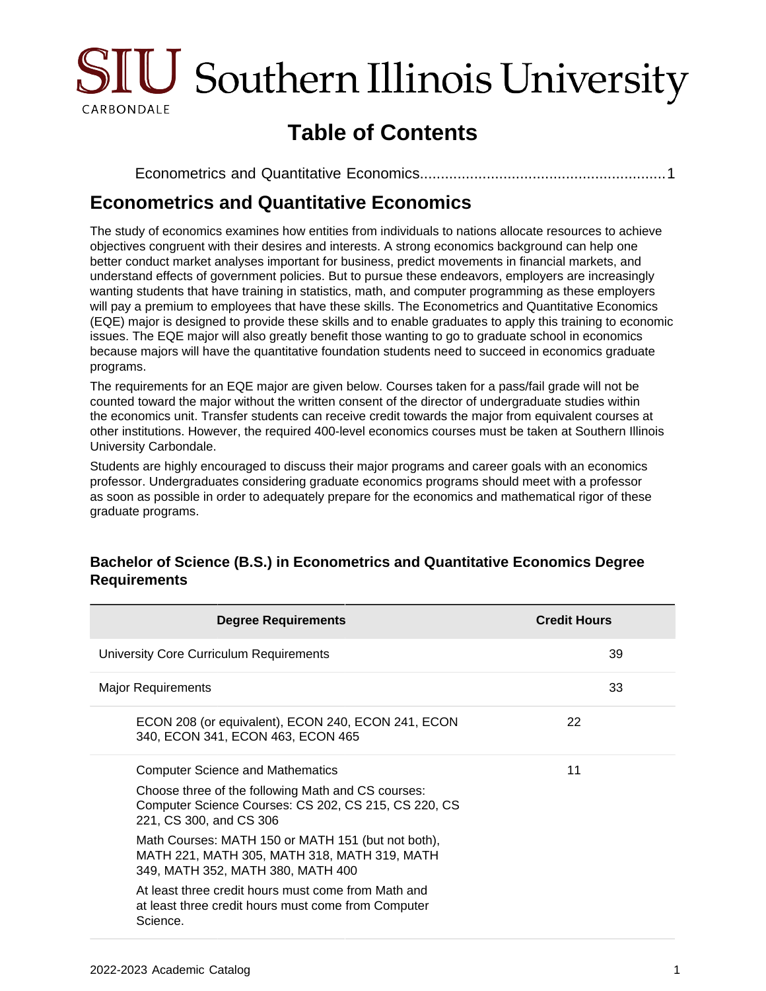

# **Table of Contents**

|--|--|--|

## <span id="page-0-0"></span>**Econometrics and Quantitative Economics**

The study of economics examines how entities from individuals to nations allocate resources to achieve objectives congruent with their desires and interests. A strong economics background can help one better conduct market analyses important for business, predict movements in financial markets, and understand effects of government policies. But to pursue these endeavors, employers are increasingly wanting students that have training in statistics, math, and computer programming as these employers will pay a premium to employees that have these skills. The Econometrics and Quantitative Economics (EQE) major is designed to provide these skills and to enable graduates to apply this training to economic issues. The EQE major will also greatly benefit those wanting to go to graduate school in economics because majors will have the quantitative foundation students need to succeed in economics graduate programs.

The requirements for an EQE major are given below. Courses taken for a pass/fail grade will not be counted toward the major without the written consent of the director of undergraduate studies within the economics unit. Transfer students can receive credit towards the major from equivalent courses at other institutions. However, the required 400-level economics courses must be taken at Southern Illinois University Carbondale.

Students are highly encouraged to discuss their major programs and career goals with an economics professor. Undergraduates considering graduate economics programs should meet with a professor as soon as possible in order to adequately prepare for the economics and mathematical rigor of these graduate programs.

#### **Bachelor of Science (B.S.) in Econometrics and Quantitative Economics Degree Requirements**

| <b>Degree Requirements</b>                                                                                                              | <b>Credit Hours</b> |
|-----------------------------------------------------------------------------------------------------------------------------------------|---------------------|
| University Core Curriculum Requirements                                                                                                 | 39                  |
| <b>Major Requirements</b>                                                                                                               | 33                  |
| ECON 208 (or equivalent), ECON 240, ECON 241, ECON<br>340, ECON 341, ECON 463, ECON 465                                                 | 22                  |
| <b>Computer Science and Mathematics</b>                                                                                                 | 11                  |
| Choose three of the following Math and CS courses:<br>Computer Science Courses: CS 202, CS 215, CS 220, CS<br>221, CS 300, and CS 306   |                     |
| Math Courses: MATH 150 or MATH 151 (but not both),<br>MATH 221, MATH 305, MATH 318, MATH 319, MATH<br>349, MATH 352, MATH 380, MATH 400 |                     |
| At least three credit hours must come from Math and<br>at least three credit hours must come from Computer<br>Science.                  |                     |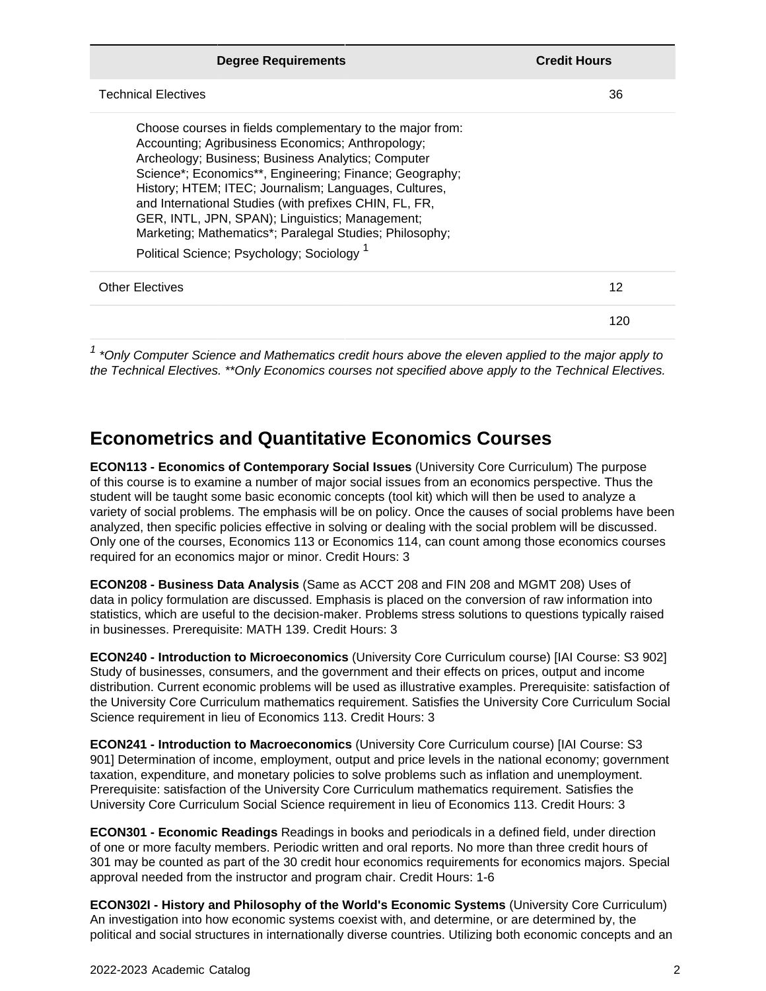| <b>Degree Requirements</b>                                                                                                                                                                                                                                                                                                                                                                                                                                                                                                | <b>Credit Hours</b> |
|---------------------------------------------------------------------------------------------------------------------------------------------------------------------------------------------------------------------------------------------------------------------------------------------------------------------------------------------------------------------------------------------------------------------------------------------------------------------------------------------------------------------------|---------------------|
| <b>Technical Electives</b>                                                                                                                                                                                                                                                                                                                                                                                                                                                                                                | 36                  |
| Choose courses in fields complementary to the major from:<br>Accounting: Agribusiness Economics: Anthropology;<br>Archeology; Business; Business Analytics; Computer<br>Science*; Economics**, Engineering; Finance; Geography;<br>History; HTEM; ITEC; Journalism; Languages, Cultures,<br>and International Studies (with prefixes CHIN, FL, FR,<br>GER, INTL, JPN, SPAN); Linguistics; Management;<br>Marketing; Mathematics*; Paralegal Studies; Philosophy;<br>Political Science; Psychology; Sociology <sup>1</sup> |                     |
| <b>Other Electives</b>                                                                                                                                                                                                                                                                                                                                                                                                                                                                                                    | 12                  |
|                                                                                                                                                                                                                                                                                                                                                                                                                                                                                                                           | 120                 |

 $1$  \*Only Computer Science and Mathematics credit hours above the eleven applied to the major apply to the Technical Electives. \*\*Only Economics courses not specified above apply to the Technical Electives.

### **Econometrics and Quantitative Economics Courses**

**ECON113 - Economics of Contemporary Social Issues** (University Core Curriculum) The purpose of this course is to examine a number of major social issues from an economics perspective. Thus the student will be taught some basic economic concepts (tool kit) which will then be used to analyze a variety of social problems. The emphasis will be on policy. Once the causes of social problems have been analyzed, then specific policies effective in solving or dealing with the social problem will be discussed. Only one of the courses, Economics 113 or Economics 114, can count among those economics courses required for an economics major or minor. Credit Hours: 3

**ECON208 - Business Data Analysis** (Same as ACCT 208 and FIN 208 and MGMT 208) Uses of data in policy formulation are discussed. Emphasis is placed on the conversion of raw information into statistics, which are useful to the decision-maker. Problems stress solutions to questions typically raised in businesses. Prerequisite: MATH 139. Credit Hours: 3

**ECON240 - Introduction to Microeconomics** (University Core Curriculum course) [IAI Course: S3 902] Study of businesses, consumers, and the government and their effects on prices, output and income distribution. Current economic problems will be used as illustrative examples. Prerequisite: satisfaction of the University Core Curriculum mathematics requirement. Satisfies the University Core Curriculum Social Science requirement in lieu of Economics 113. Credit Hours: 3

**ECON241 - Introduction to Macroeconomics** (University Core Curriculum course) [IAI Course: S3 901] Determination of income, employment, output and price levels in the national economy; government taxation, expenditure, and monetary policies to solve problems such as inflation and unemployment. Prerequisite: satisfaction of the University Core Curriculum mathematics requirement. Satisfies the University Core Curriculum Social Science requirement in lieu of Economics 113. Credit Hours: 3

**ECON301 - Economic Readings** Readings in books and periodicals in a defined field, under direction of one or more faculty members. Periodic written and oral reports. No more than three credit hours of 301 may be counted as part of the 30 credit hour economics requirements for economics majors. Special approval needed from the instructor and program chair. Credit Hours: 1-6

**ECON302I - History and Philosophy of the World's Economic Systems** (University Core Curriculum) An investigation into how economic systems coexist with, and determine, or are determined by, the political and social structures in internationally diverse countries. Utilizing both economic concepts and an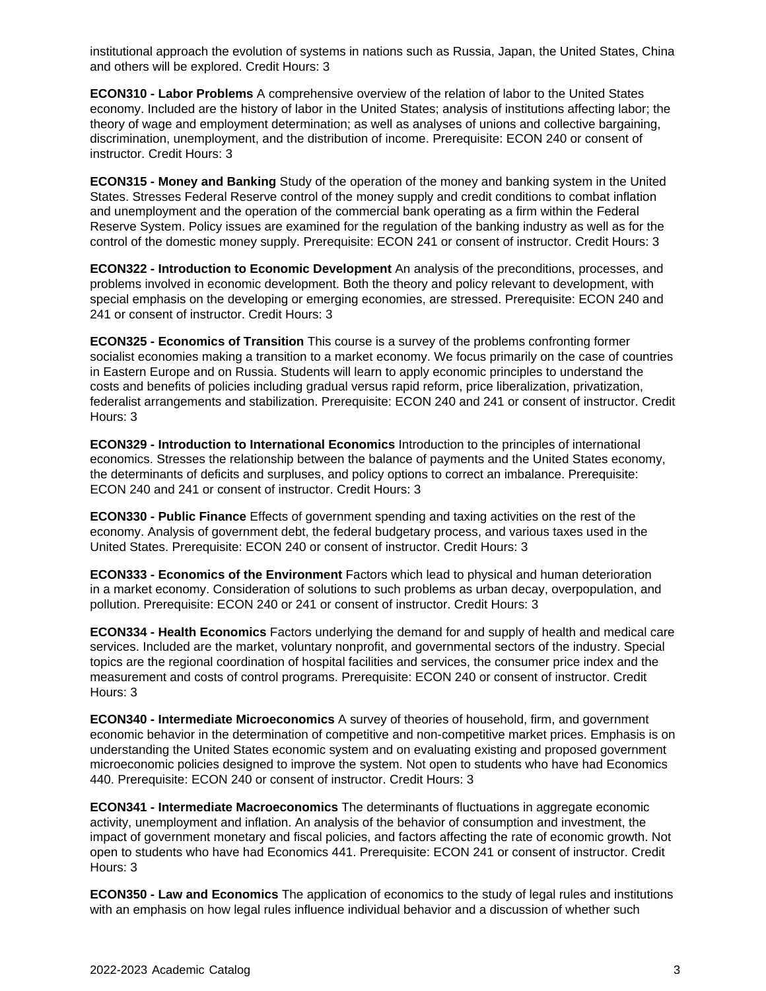institutional approach the evolution of systems in nations such as Russia, Japan, the United States, China and others will be explored. Credit Hours: 3

**ECON310 - Labor Problems** A comprehensive overview of the relation of labor to the United States economy. Included are the history of labor in the United States; analysis of institutions affecting labor; the theory of wage and employment determination; as well as analyses of unions and collective bargaining, discrimination, unemployment, and the distribution of income. Prerequisite: ECON 240 or consent of instructor. Credit Hours: 3

**ECON315 - Money and Banking** Study of the operation of the money and banking system in the United States. Stresses Federal Reserve control of the money supply and credit conditions to combat inflation and unemployment and the operation of the commercial bank operating as a firm within the Federal Reserve System. Policy issues are examined for the regulation of the banking industry as well as for the control of the domestic money supply. Prerequisite: ECON 241 or consent of instructor. Credit Hours: 3

**ECON322 - Introduction to Economic Development** An analysis of the preconditions, processes, and problems involved in economic development. Both the theory and policy relevant to development, with special emphasis on the developing or emerging economies, are stressed. Prerequisite: ECON 240 and 241 or consent of instructor. Credit Hours: 3

**ECON325 - Economics of Transition** This course is a survey of the problems confronting former socialist economies making a transition to a market economy. We focus primarily on the case of countries in Eastern Europe and on Russia. Students will learn to apply economic principles to understand the costs and benefits of policies including gradual versus rapid reform, price liberalization, privatization, federalist arrangements and stabilization. Prerequisite: ECON 240 and 241 or consent of instructor. Credit Hours: 3

**ECON329 - Introduction to International Economics** Introduction to the principles of international economics. Stresses the relationship between the balance of payments and the United States economy, the determinants of deficits and surpluses, and policy options to correct an imbalance. Prerequisite: ECON 240 and 241 or consent of instructor. Credit Hours: 3

**ECON330 - Public Finance** Effects of government spending and taxing activities on the rest of the economy. Analysis of government debt, the federal budgetary process, and various taxes used in the United States. Prerequisite: ECON 240 or consent of instructor. Credit Hours: 3

**ECON333 - Economics of the Environment** Factors which lead to physical and human deterioration in a market economy. Consideration of solutions to such problems as urban decay, overpopulation, and pollution. Prerequisite: ECON 240 or 241 or consent of instructor. Credit Hours: 3

**ECON334 - Health Economics** Factors underlying the demand for and supply of health and medical care services. Included are the market, voluntary nonprofit, and governmental sectors of the industry. Special topics are the regional coordination of hospital facilities and services, the consumer price index and the measurement and costs of control programs. Prerequisite: ECON 240 or consent of instructor. Credit Hours: 3

**ECON340 - Intermediate Microeconomics** A survey of theories of household, firm, and government economic behavior in the determination of competitive and non-competitive market prices. Emphasis is on understanding the United States economic system and on evaluating existing and proposed government microeconomic policies designed to improve the system. Not open to students who have had Economics 440. Prerequisite: ECON 240 or consent of instructor. Credit Hours: 3

**ECON341 - Intermediate Macroeconomics** The determinants of fluctuations in aggregate economic activity, unemployment and inflation. An analysis of the behavior of consumption and investment, the impact of government monetary and fiscal policies, and factors affecting the rate of economic growth. Not open to students who have had Economics 441. Prerequisite: ECON 241 or consent of instructor. Credit Hours: 3

**ECON350 - Law and Economics** The application of economics to the study of legal rules and institutions with an emphasis on how legal rules influence individual behavior and a discussion of whether such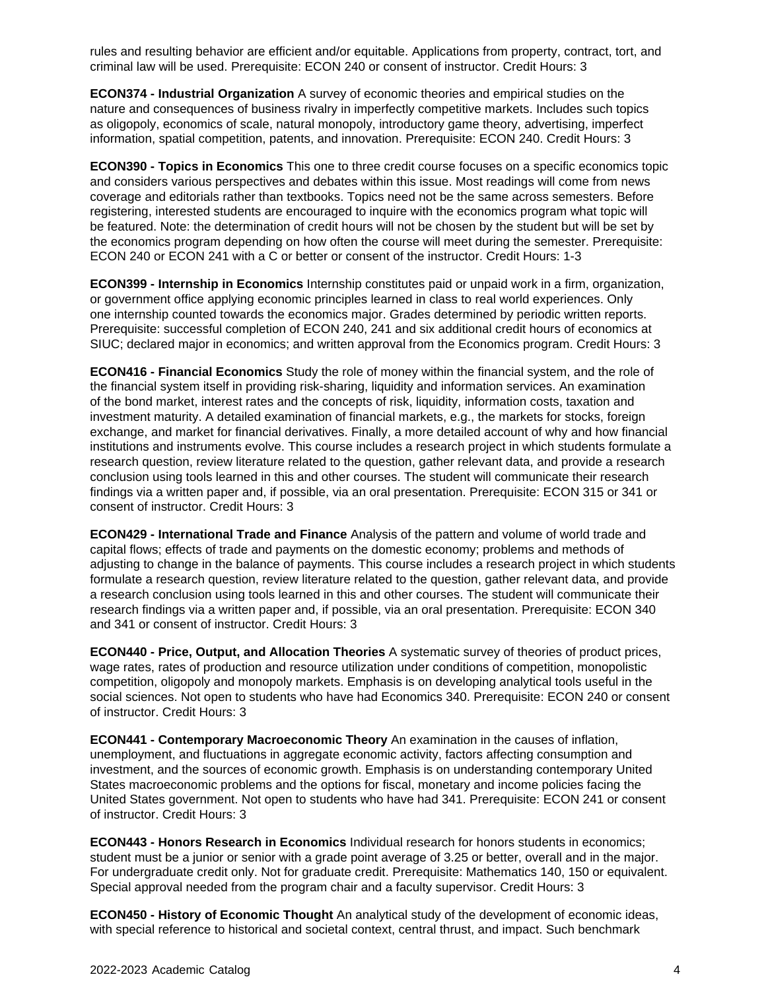rules and resulting behavior are efficient and/or equitable. Applications from property, contract, tort, and criminal law will be used. Prerequisite: ECON 240 or consent of instructor. Credit Hours: 3

**ECON374 - Industrial Organization** A survey of economic theories and empirical studies on the nature and consequences of business rivalry in imperfectly competitive markets. Includes such topics as oligopoly, economics of scale, natural monopoly, introductory game theory, advertising, imperfect information, spatial competition, patents, and innovation. Prerequisite: ECON 240. Credit Hours: 3

**ECON390 - Topics in Economics** This one to three credit course focuses on a specific economics topic and considers various perspectives and debates within this issue. Most readings will come from news coverage and editorials rather than textbooks. Topics need not be the same across semesters. Before registering, interested students are encouraged to inquire with the economics program what topic will be featured. Note: the determination of credit hours will not be chosen by the student but will be set by the economics program depending on how often the course will meet during the semester. Prerequisite: ECON 240 or ECON 241 with a C or better or consent of the instructor. Credit Hours: 1-3

**ECON399 - Internship in Economics** Internship constitutes paid or unpaid work in a firm, organization, or government office applying economic principles learned in class to real world experiences. Only one internship counted towards the economics major. Grades determined by periodic written reports. Prerequisite: successful completion of ECON 240, 241 and six additional credit hours of economics at SIUC; declared major in economics; and written approval from the Economics program. Credit Hours: 3

**ECON416 - Financial Economics** Study the role of money within the financial system, and the role of the financial system itself in providing risk-sharing, liquidity and information services. An examination of the bond market, interest rates and the concepts of risk, liquidity, information costs, taxation and investment maturity. A detailed examination of financial markets, e.g., the markets for stocks, foreign exchange, and market for financial derivatives. Finally, a more detailed account of why and how financial institutions and instruments evolve. This course includes a research project in which students formulate a research question, review literature related to the question, gather relevant data, and provide a research conclusion using tools learned in this and other courses. The student will communicate their research findings via a written paper and, if possible, via an oral presentation. Prerequisite: ECON 315 or 341 or consent of instructor. Credit Hours: 3

**ECON429 - International Trade and Finance** Analysis of the pattern and volume of world trade and capital flows; effects of trade and payments on the domestic economy; problems and methods of adjusting to change in the balance of payments. This course includes a research project in which students formulate a research question, review literature related to the question, gather relevant data, and provide a research conclusion using tools learned in this and other courses. The student will communicate their research findings via a written paper and, if possible, via an oral presentation. Prerequisite: ECON 340 and 341 or consent of instructor. Credit Hours: 3

**ECON440 - Price, Output, and Allocation Theories** A systematic survey of theories of product prices, wage rates, rates of production and resource utilization under conditions of competition, monopolistic competition, oligopoly and monopoly markets. Emphasis is on developing analytical tools useful in the social sciences. Not open to students who have had Economics 340. Prerequisite: ECON 240 or consent of instructor. Credit Hours: 3

**ECON441 - Contemporary Macroeconomic Theory** An examination in the causes of inflation, unemployment, and fluctuations in aggregate economic activity, factors affecting consumption and investment, and the sources of economic growth. Emphasis is on understanding contemporary United States macroeconomic problems and the options for fiscal, monetary and income policies facing the United States government. Not open to students who have had 341. Prerequisite: ECON 241 or consent of instructor. Credit Hours: 3

**ECON443 - Honors Research in Economics** Individual research for honors students in economics; student must be a junior or senior with a grade point average of 3.25 or better, overall and in the major. For undergraduate credit only. Not for graduate credit. Prerequisite: Mathematics 140, 150 or equivalent. Special approval needed from the program chair and a faculty supervisor. Credit Hours: 3

**ECON450 - History of Economic Thought** An analytical study of the development of economic ideas, with special reference to historical and societal context, central thrust, and impact. Such benchmark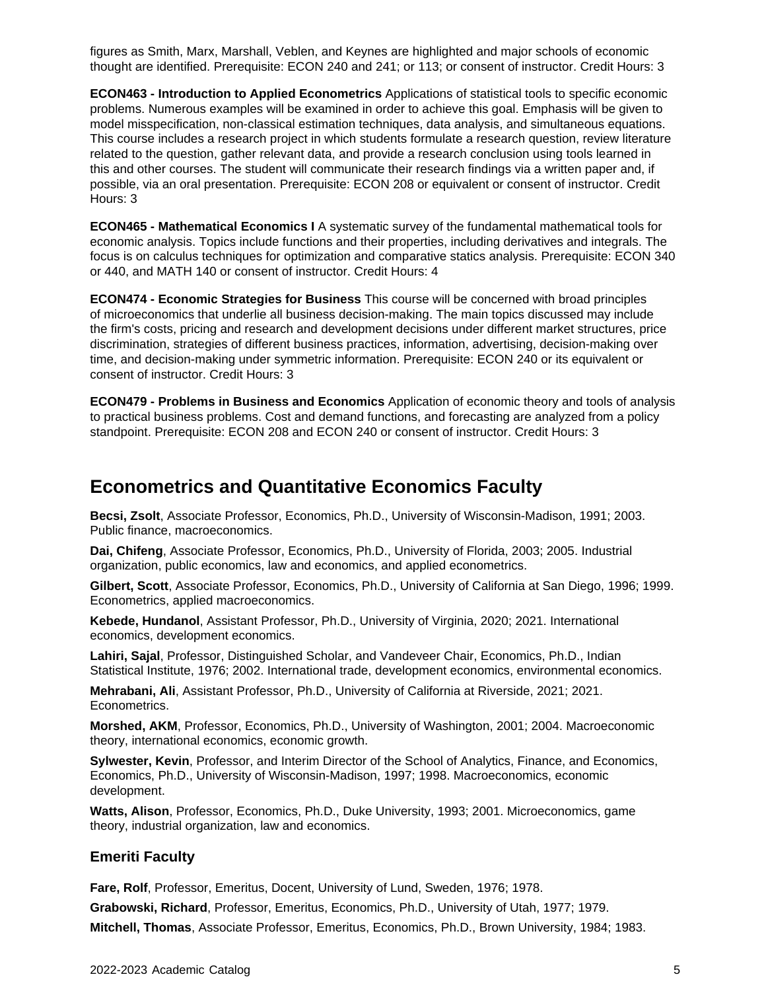figures as Smith, Marx, Marshall, Veblen, and Keynes are highlighted and major schools of economic thought are identified. Prerequisite: ECON 240 and 241; or 113; or consent of instructor. Credit Hours: 3

**ECON463 - Introduction to Applied Econometrics** Applications of statistical tools to specific economic problems. Numerous examples will be examined in order to achieve this goal. Emphasis will be given to model misspecification, non-classical estimation techniques, data analysis, and simultaneous equations. This course includes a research project in which students formulate a research question, review literature related to the question, gather relevant data, and provide a research conclusion using tools learned in this and other courses. The student will communicate their research findings via a written paper and, if possible, via an oral presentation. Prerequisite: ECON 208 or equivalent or consent of instructor. Credit Hours: 3

**ECON465 - Mathematical Economics I** A systematic survey of the fundamental mathematical tools for economic analysis. Topics include functions and their properties, including derivatives and integrals. The focus is on calculus techniques for optimization and comparative statics analysis. Prerequisite: ECON 340 or 440, and MATH 140 or consent of instructor. Credit Hours: 4

**ECON474 - Economic Strategies for Business** This course will be concerned with broad principles of microeconomics that underlie all business decision-making. The main topics discussed may include the firm's costs, pricing and research and development decisions under different market structures, price discrimination, strategies of different business practices, information, advertising, decision-making over time, and decision-making under symmetric information. Prerequisite: ECON 240 or its equivalent or consent of instructor. Credit Hours: 3

**ECON479 - Problems in Business and Economics** Application of economic theory and tools of analysis to practical business problems. Cost and demand functions, and forecasting are analyzed from a policy standpoint. Prerequisite: ECON 208 and ECON 240 or consent of instructor. Credit Hours: 3

#### **Econometrics and Quantitative Economics Faculty**

**Becsi, Zsolt**, Associate Professor, Economics, Ph.D., University of Wisconsin-Madison, 1991; 2003. Public finance, macroeconomics.

**Dai, Chifeng**, Associate Professor, Economics, Ph.D., University of Florida, 2003; 2005. Industrial organization, public economics, law and economics, and applied econometrics.

**Gilbert, Scott**, Associate Professor, Economics, Ph.D., University of California at San Diego, 1996; 1999. Econometrics, applied macroeconomics.

**Kebede, Hundanol**, Assistant Professor, Ph.D., University of Virginia, 2020; 2021. International economics, development economics.

**Lahiri, Sajal**, Professor, Distinguished Scholar, and Vandeveer Chair, Economics, Ph.D., Indian Statistical Institute, 1976; 2002. International trade, development economics, environmental economics.

**Mehrabani, Ali**, Assistant Professor, Ph.D., University of California at Riverside, 2021; 2021. Econometrics.

**Morshed, AKM**, Professor, Economics, Ph.D., University of Washington, 2001; 2004. Macroeconomic theory, international economics, economic growth.

**Sylwester, Kevin**, Professor, and Interim Director of the School of Analytics, Finance, and Economics, Economics, Ph.D., University of Wisconsin-Madison, 1997; 1998. Macroeconomics, economic development.

**Watts, Alison**, Professor, Economics, Ph.D., Duke University, 1993; 2001. Microeconomics, game theory, industrial organization, law and economics.

#### **Emeriti Faculty**

**Fare, Rolf**, Professor, Emeritus, Docent, University of Lund, Sweden, 1976; 1978.

**Grabowski, Richard**, Professor, Emeritus, Economics, Ph.D., University of Utah, 1977; 1979.

**Mitchell, Thomas**, Associate Professor, Emeritus, Economics, Ph.D., Brown University, 1984; 1983.